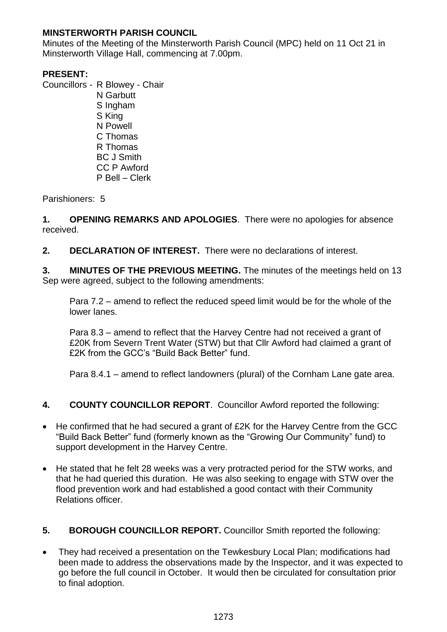### **MINSTERWORTH PARISH COUNCIL**

Minutes of the Meeting of the Minsterworth Parish Council (MPC) held on 11 Oct 21 in Minsterworth Village Hall, commencing at 7.00pm.

### **PRESENT:**

Councillors - R Blowey - Chair N Garbutt S Ingham S King N Powell C Thomas R Thomas BC J Smith CC P Awford P Bell – Clerk

Parishioners: 5

**1. OPENING REMARKS AND APOLOGIES**. There were no apologies for absence received.

**2. DECLARATION OF INTEREST.** There were no declarations of interest.

**3. MINUTES OF THE PREVIOUS MEETING.** The minutes of the meetings held on 13 Sep were agreed, subject to the following amendments:

Para 7.2 – amend to reflect the reduced speed limit would be for the whole of the lower lanes.

Para 8.3 – amend to reflect that the Harvey Centre had not received a grant of £20K from Severn Trent Water (STW) but that Cllr Awford had claimed a grant of £2K from the GCC's "Build Back Better" fund.

Para 8.4.1 – amend to reflect landowners (plural) of the Cornham Lane gate area.

- **4. COUNTY COUNCILLOR REPORT**. Councillor Awford reported the following:
- He confirmed that he had secured a grant of £2K for the Harvey Centre from the GCC "Build Back Better" fund (formerly known as the "Growing Our Community" fund) to support development in the Harvey Centre.
- He stated that he felt 28 weeks was a very protracted period for the STW works, and that he had queried this duration. He was also seeking to engage with STW over the flood prevention work and had established a good contact with their Community Relations officer.

### **5. BOROUGH COUNCILLOR REPORT.** Councillor Smith reported the following:

• They had received a presentation on the Tewkesbury Local Plan; modifications had been made to address the observations made by the Inspector, and it was expected to go before the full council in October. It would then be circulated for consultation prior to final adoption.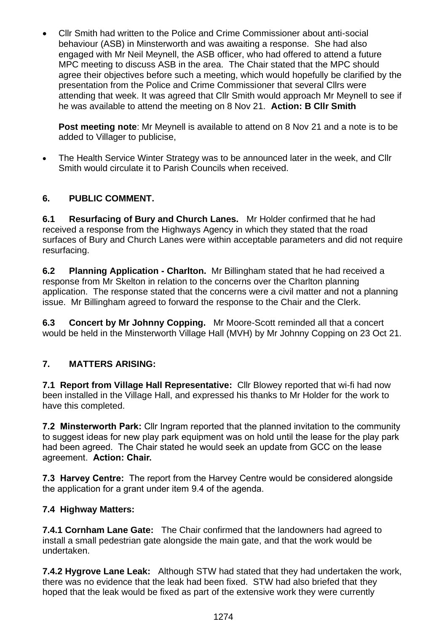• Cllr Smith had written to the Police and Crime Commissioner about anti-social behaviour (ASB) in Minsterworth and was awaiting a response. She had also engaged with Mr Neil Meynell, the ASB officer, who had offered to attend a future MPC meeting to discuss ASB in the area. The Chair stated that the MPC should agree their objectives before such a meeting, which would hopefully be clarified by the presentation from the Police and Crime Commissioner that several Cllrs were attending that week. It was agreed that Cllr Smith would approach Mr Meynell to see if he was available to attend the meeting on 8 Nov 21. **Action: B Cllr Smith**

**Post meeting note**: Mr Meynell is available to attend on 8 Nov 21 and a note is to be added to Villager to publicise,

• The Health Service Winter Strategy was to be announced later in the week, and Cllr Smith would circulate it to Parish Councils when received.

# **6. PUBLIC COMMENT.**

**6.1 Resurfacing of Bury and Church Lanes.** Mr Holder confirmed that he had received a response from the Highways Agency in which they stated that the road surfaces of Bury and Church Lanes were within acceptable parameters and did not require resurfacing.

**6.2 Planning Application - Charlton.** Mr Billingham stated that he had received a response from Mr Skelton in relation to the concerns over the Charlton planning application. The response stated that the concerns were a civil matter and not a planning issue. Mr Billingham agreed to forward the response to the Chair and the Clerk.

**6.3 Concert by Mr Johnny Copping.** Mr Moore-Scott reminded all that a concert would be held in the Minsterworth Village Hall (MVH) by Mr Johnny Copping on 23 Oct 21.

### **7. MATTERS ARISING:**

**7.1 Report from Village Hall Representative:** Cllr Blowey reported that wi-fi had now been installed in the Village Hall, and expressed his thanks to Mr Holder for the work to have this completed.

**7.2 Minsterworth Park:** Cllr Ingram reported that the planned invitation to the community to suggest ideas for new play park equipment was on hold until the lease for the play park had been agreed. The Chair stated he would seek an update from GCC on the lease agreement. **Action: Chair.** 

**7.3 Harvey Centre:** The report from the Harvey Centre would be considered alongside the application for a grant under item 9.4 of the agenda.

#### **7.4 Highway Matters:**

**7.4.1 Cornham Lane Gate:** The Chair confirmed that the landowners had agreed to install a small pedestrian gate alongside the main gate, and that the work would be undertaken.

**7.4.2 Hygrove Lane Leak:** Although STW had stated that they had undertaken the work, there was no evidence that the leak had been fixed. STW had also briefed that they hoped that the leak would be fixed as part of the extensive work they were currently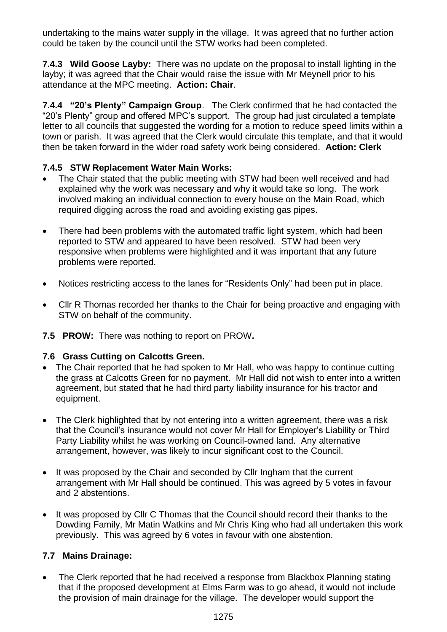undertaking to the mains water supply in the village. It was agreed that no further action could be taken by the council until the STW works had been completed.

**7.4.3 Wild Goose Layby:** There was no update on the proposal to install lighting in the layby; it was agreed that the Chair would raise the issue with Mr Meynell prior to his attendance at the MPC meeting. **Action: Chair**.

**7.4.4 "20's Plenty" Campaign Group**. The Clerk confirmed that he had contacted the "20's Plenty" group and offered MPC's support. The group had just circulated a template letter to all councils that suggested the wording for a motion to reduce speed limits within a town or parish. It was agreed that the Clerk would circulate this template, and that it would then be taken forward in the wider road safety work being considered. **Action: Clerk**

# **7.4.5 STW Replacement Water Main Works:**

- The Chair stated that the public meeting with STW had been well received and had explained why the work was necessary and why it would take so long. The work involved making an individual connection to every house on the Main Road, which required digging across the road and avoiding existing gas pipes.
- There had been problems with the automated traffic light system, which had been reported to STW and appeared to have been resolved. STW had been very responsive when problems were highlighted and it was important that any future problems were reported.
- Notices restricting access to the lanes for "Residents Only" had been put in place.
- Cllr R Thomas recorded her thanks to the Chair for being proactive and engaging with STW on behalf of the community.
- **7.5 PROW:** There was nothing to report on PROW**.**

### **7.6 Grass Cutting on Calcotts Green.**

- The Chair reported that he had spoken to Mr Hall, who was happy to continue cutting the grass at Calcotts Green for no payment. Mr Hall did not wish to enter into a written agreement, but stated that he had third party liability insurance for his tractor and equipment.
- The Clerk highlighted that by not entering into a written agreement, there was a risk that the Council's insurance would not cover Mr Hall for Employer's Liability or Third Party Liability whilst he was working on Council-owned land. Any alternative arrangement, however, was likely to incur significant cost to the Council.
- It was proposed by the Chair and seconded by Cllr Ingham that the current arrangement with Mr Hall should be continued. This was agreed by 5 votes in favour and 2 abstentions.
- It was proposed by Cllr C Thomas that the Council should record their thanks to the Dowding Family, Mr Matin Watkins and Mr Chris King who had all undertaken this work previously. This was agreed by 6 votes in favour with one abstention.

# **7.7 Mains Drainage:**

• The Clerk reported that he had received a response from Blackbox Planning stating that if the proposed development at Elms Farm was to go ahead, it would not include the provision of main drainage for the village. The developer would support the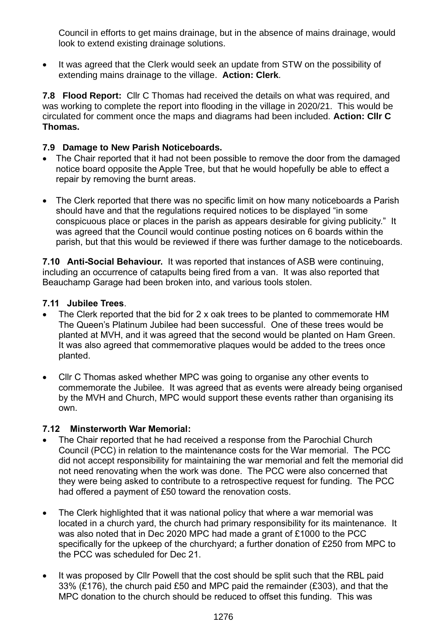Council in efforts to get mains drainage, but in the absence of mains drainage, would look to extend existing drainage solutions.

• It was agreed that the Clerk would seek an update from STW on the possibility of extending mains drainage to the village. **Action: Clerk**.

**7.8 Flood Report:** Cllr C Thomas had received the details on what was required, and was working to complete the report into flooding in the village in 2020/21. This would be circulated for comment once the maps and diagrams had been included. **Action: Cllr C Thomas.**

### **7.9 Damage to New Parish Noticeboards.**

- The Chair reported that it had not been possible to remove the door from the damaged notice board opposite the Apple Tree, but that he would hopefully be able to effect a repair by removing the burnt areas.
- The Clerk reported that there was no specific limit on how many noticeboards a Parish should have and that the regulations required notices to be displayed "in some conspicuous place or places in the parish as appears desirable for giving publicity." It was agreed that the Council would continue posting notices on 6 boards within the parish, but that this would be reviewed if there was further damage to the noticeboards.

**7.10 Anti-Social Behaviour.** It was reported that instances of ASB were continuing, including an occurrence of catapults being fired from a van. It was also reported that Beauchamp Garage had been broken into, and various tools stolen.

### **7.11 Jubilee Trees**.

- The Clerk reported that the bid for 2 x oak trees to be planted to commemorate HM The Queen's Platinum Jubilee had been successful. One of these trees would be planted at MVH, and it was agreed that the second would be planted on Ham Green. It was also agreed that commemorative plaques would be added to the trees once planted.
- Cllr C Thomas asked whether MPC was going to organise any other events to commemorate the Jubilee. It was agreed that as events were already being organised by the MVH and Church, MPC would support these events rather than organising its own.

### **7.12 Minsterworth War Memorial:**

- The Chair reported that he had received a response from the Parochial Church Council (PCC) in relation to the maintenance costs for the War memorial. The PCC did not accept responsibility for maintaining the war memorial and felt the memorial did not need renovating when the work was done. The PCC were also concerned that they were being asked to contribute to a retrospective request for funding. The PCC had offered a payment of £50 toward the renovation costs.
- The Clerk highlighted that it was national policy that where a war memorial was located in a church yard, the church had primary responsibility for its maintenance. It was also noted that in Dec 2020 MPC had made a grant of £1000 to the PCC specifically for the upkeep of the churchyard; a further donation of £250 from MPC to the PCC was scheduled for Dec 21.
- It was proposed by Cllr Powell that the cost should be split such that the RBL paid 33% (£176), the church paid £50 and MPC paid the remainder (£303), and that the MPC donation to the church should be reduced to offset this funding. This was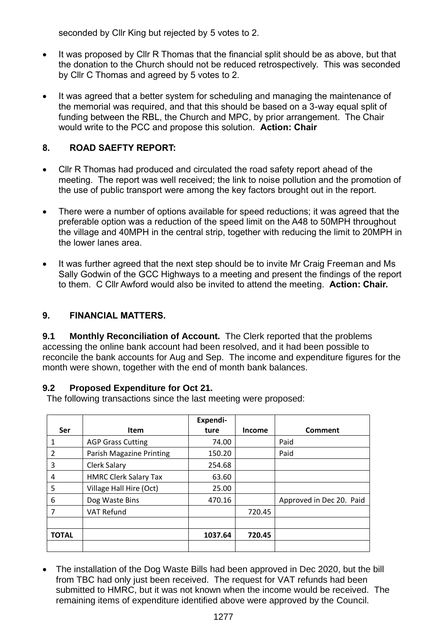seconded by Cllr King but rejected by 5 votes to 2.

- It was proposed by Cllr R Thomas that the financial split should be as above, but that the donation to the Church should not be reduced retrospectively. This was seconded by Cllr C Thomas and agreed by 5 votes to 2.
- It was agreed that a better system for scheduling and managing the maintenance of the memorial was required, and that this should be based on a 3-way equal split of funding between the RBL, the Church and MPC, by prior arrangement. The Chair would write to the PCC and propose this solution. **Action: Chair**

## **8. ROAD SAEFTY REPORT:**

- Cllr R Thomas had produced and circulated the road safety report ahead of the meeting. The report was well received; the link to noise pollution and the promotion of the use of public transport were among the key factors brought out in the report.
- There were a number of options available for speed reductions; it was agreed that the preferable option was a reduction of the speed limit on the A48 to 50MPH throughout the village and 40MPH in the central strip, together with reducing the limit to 20MPH in the lower lanes area.
- It was further agreed that the next step should be to invite Mr Craig Freeman and Ms Sally Godwin of the GCC Highways to a meeting and present the findings of the report to them. C Cllr Awford would also be invited to attend the meeting. **Action: Chair.**

## **9. FINANCIAL MATTERS.**

**9.1 Monthly Reconciliation of Account.** The Clerk reported that the problems accessing the online bank account had been resolved, and it had been possible to reconcile the bank accounts for Aug and Sep. The income and expenditure figures for the month were shown, together with the end of month bank balances.

### **9.2 Proposed Expenditure for Oct 21.**

The following transactions since the last meeting were proposed:

|              |                              | Expendi- |               |                          |
|--------------|------------------------------|----------|---------------|--------------------------|
| Ser          | <b>Item</b>                  | ture     | <b>Income</b> | Comment                  |
| $\mathbf{1}$ | <b>AGP Grass Cutting</b>     | 74.00    |               | Paid                     |
| 2            | Parish Magazine Printing     | 150.20   |               | Paid                     |
| 3            | Clerk Salary                 | 254.68   |               |                          |
| 4            | <b>HMRC Clerk Salary Tax</b> | 63.60    |               |                          |
| 5            | Village Hall Hire (Oct)      | 25.00    |               |                          |
| 6            | Dog Waste Bins               | 470.16   |               | Approved in Dec 20. Paid |
| 7            | VAT Refund                   |          | 720.45        |                          |
|              |                              |          |               |                          |
| <b>TOTAL</b> |                              | 1037.64  | 720.45        |                          |
|              |                              |          |               |                          |

• The installation of the Dog Waste Bills had been approved in Dec 2020, but the bill from TBC had only just been received. The request for VAT refunds had been submitted to HMRC, but it was not known when the income would be received. The remaining items of expenditure identified above were approved by the Council.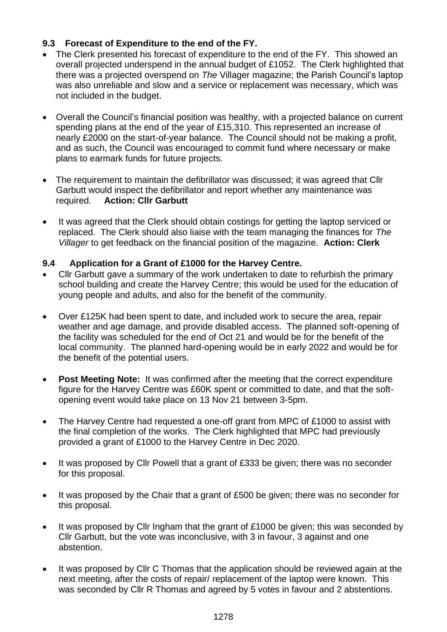### **9.3 Forecast of Expenditure to the end of the FY.**

- The Clerk presented his forecast of expenditure to the end of the FY. This showed an overall projected underspend in the annual budget of £1052. The Clerk highlighted that there was a projected overspend on *The* Villager magazine; the Parish Council's laptop was also unreliable and slow and a service or replacement was necessary, which was not included in the budget.
- Overall the Council's financial position was healthy, with a projected balance on current spending plans at the end of the year of £15,310. This represented an increase of nearly £2000 on the start-of-year balance. The Council should not be making a profit, and as such, the Council was encouraged to commit fund where necessary or make plans to earmark funds for future projects.
- The requirement to maintain the defibrillator was discussed; it was agreed that Cllr Garbutt would inspect the defibrillator and report whether any maintenance was required. **Action: Cllr Garbutt**
- It was agreed that the Clerk should obtain costings for getting the laptop serviced or replaced. The Clerk should also liaise with the team managing the finances for *The Villager* to get feedback on the financial position of the magazine. **Action: Clerk**

## **9.4 Application for a Grant of £1000 for the Harvey Centre.**

- Cllr Garbutt gave a summary of the work undertaken to date to refurbish the primary school building and create the Harvey Centre; this would be used for the education of young people and adults, and also for the benefit of the community.
- Over £125K had been spent to date, and included work to secure the area, repair weather and age damage, and provide disabled access. The planned soft-opening of the facility was scheduled for the end of Oct 21 and would be for the benefit of the local community. The planned hard-opening would be in early 2022 and would be for the benefit of the potential users.
- **Post Meeting Note:** It was confirmed after the meeting that the correct expenditure figure for the Harvey Centre was £60K spent or committed to date, and that the softopening event would take place on 13 Nov 21 between 3-5pm.
- The Harvey Centre had requested a one-off grant from MPC of £1000 to assist with the final completion of the works. The Clerk highlighted that MPC had previously provided a grant of £1000 to the Harvey Centre in Dec 2020.
- It was proposed by Cllr Powell that a grant of £333 be given; there was no seconder for this proposal.
- It was proposed by the Chair that a grant of £500 be given; there was no seconder for this proposal.
- It was proposed by Cllr Ingham that the grant of £1000 be given; this was seconded by Cllr Garbutt, but the vote was inconclusive, with 3 in favour, 3 against and one abstention.
- It was proposed by Cllr C Thomas that the application should be reviewed again at the next meeting, after the costs of repair/ replacement of the laptop were known. This was seconded by Cllr R Thomas and agreed by 5 votes in favour and 2 abstentions.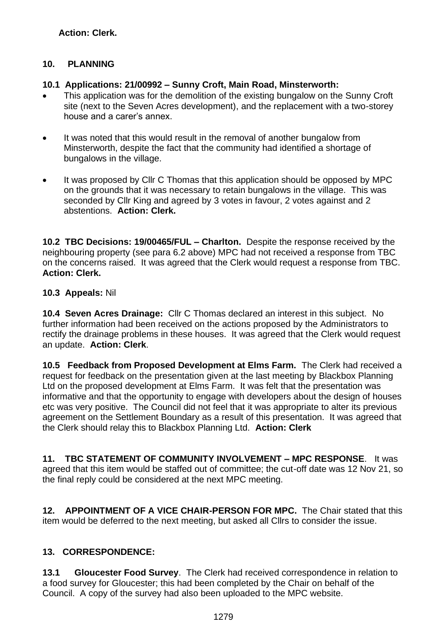## **10. PLANNING**

#### **10.1 Applications: 21/00992 – Sunny Croft, Main Road, Minsterworth:**

- This application was for the demolition of the existing bungalow on the Sunny Croft site (next to the Seven Acres development), and the replacement with a two-storey house and a carer's annex.
- It was noted that this would result in the removal of another bungalow from Minsterworth, despite the fact that the community had identified a shortage of bungalows in the village.
- It was proposed by Cllr C Thomas that this application should be opposed by MPC on the grounds that it was necessary to retain bungalows in the village. This was seconded by Cllr King and agreed by 3 votes in favour, 2 votes against and 2 abstentions. **Action: Clerk.**

**10.2 TBC Decisions: 19/00465/FUL – Charlton.** Despite the response received by the neighbouring property (see para 6.2 above) MPC had not received a response from TBC on the concerns raised. It was agreed that the Clerk would request a response from TBC. **Action: Clerk.**

#### **10.3 Appeals:** Nil

**10.4 Seven Acres Drainage:** Cllr C Thomas declared an interest in this subject.No further information had been received on the actions proposed by the Administrators to rectify the drainage problems in these houses. It was agreed that the Clerk would request an update. **Action: Clerk**.

**10.5 Feedback from Proposed Development at Elms Farm.** The Clerk had received a request for feedback on the presentation given at the last meeting by Blackbox Planning Ltd on the proposed development at Elms Farm. It was felt that the presentation was informative and that the opportunity to engage with developers about the design of houses etc was very positive. The Council did not feel that it was appropriate to alter its previous agreement on the Settlement Boundary as a result of this presentation. It was agreed that the Clerk should relay this to Blackbox Planning Ltd. **Action: Clerk**

**11. TBC STATEMENT OF COMMUNITY INVOLVEMENT – MPC RESPONSE**. It was agreed that this item would be staffed out of committee; the cut-off date was 12 Nov 21, so the final reply could be considered at the next MPC meeting.

**12. APPOINTMENT OF A VICE CHAIR-PERSON FOR MPC.** The Chair stated that this item would be deferred to the next meeting, but asked all Cllrs to consider the issue.

### **13. CORRESPONDENCE:**

**13.1 Gloucester Food Survey**. The Clerk had received correspondence in relation to a food survey for Gloucester; this had been completed by the Chair on behalf of the Council. A copy of the survey had also been uploaded to the MPC website.